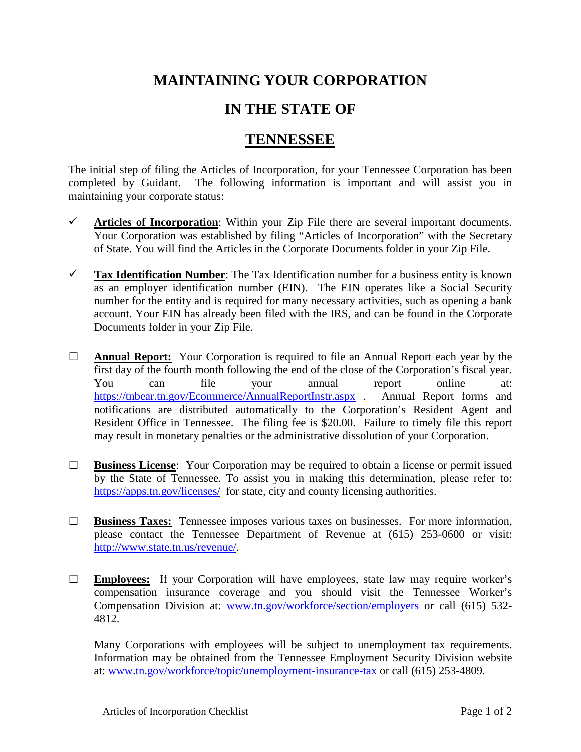## **MAINTAINING YOUR CORPORATION**

## **IN THE STATE OF**

## **TENNESSEE**

The initial step of filing the Articles of Incorporation, for your Tennessee Corporation has been completed by Guidant. The following information is important and will assist you in maintaining your corporate status:

- $\checkmark$  Articles of Incorporation: Within your Zip File there are several important documents. Your Corporation was established by filing "Articles of Incorporation" with the Secretary of State. You will find the Articles in the Corporate Documents folder in your Zip File.
- **Tax Identification Number**: The Tax Identification number for a business entity is known as an employer identification number (EIN). The EIN operates like a Social Security number for the entity and is required for many necessary activities, such as opening a bank account. Your EIN has already been filed with the IRS, and can be found in the Corporate Documents folder in your Zip File.
- **□ Annual Report:** Your Corporation is required to file an Annual Report each year by the first day of the fourth month following the end of the close of the Corporation's fiscal year. You can file your annual report online at: <https://tnbear.tn.gov/Ecommerce/AnnualReportInstr.aspx> . Annual Report forms and notifications are distributed automatically to the Corporation's Resident Agent and Resident Office in Tennessee. The filing fee is \$20.00. Failure to timely file this report may result in monetary penalties or the administrative dissolution of your Corporation.
- **□ Business License**: Your Corporation may be required to obtain a license or permit issued by the State of Tennessee. To assist you in making this determination, please refer to: <https://apps.tn.gov/licenses/> for state, city and county licensing authorities.
- **□ Business Taxes:** Tennessee imposes various taxes on businesses. For more information, please contact the Tennessee Department of Revenue at (615) 253-0600 or visit: [http://www.state.tn.us/revenue/.](http://www.state.tn.us/revenue/)
- **□ Employees:** If your Corporation will have employees, state law may require worker's compensation insurance coverage and you should visit the Tennessee Worker's Compensation Division at: [www.tn.gov/workforce/section/employers](http://www.tn.gov/workforce/section/employers) or call (615) 532- 4812.

Many Corporations with employees will be subject to unemployment tax requirements. Information may be obtained from the Tennessee Employment Security Division website at: [www.tn.gov/workforce/topic/unemployment-insurance-tax](http://www.tn.gov/workforce/topic/unemployment-insurance-tax) or call (615) 253-4809.